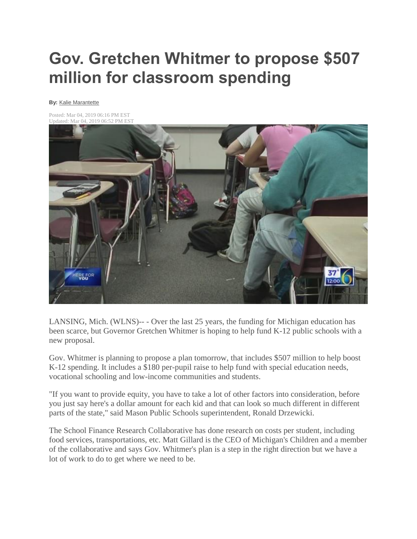## **Gov. Gretchen Whitmer to propose \$507 million for classroom spending**

## **By:** [Kalie Marantette](https://www.wlns.com/meet-the-team/kalie-marantette/1420350862)

Posted: Mar 04, 2019 06:16 PM EST Updated: Mar 04, 2019 06:52 PM EST



LANSING, Mich. (WLNS)-- - Over the last 25 years, the funding for Michigan education has been scarce, but Governor Gretchen Whitmer is hoping to help fund K-12 public schools with a new proposal.

Gov. Whitmer is planning to propose a plan tomorrow, that includes \$507 million to help boost K-12 spending. It includes a \$180 per-pupil raise to help fund with special education needs, vocational schooling and low-income communities and students.

"If you want to provide equity, you have to take a lot of other factors into consideration, before you just say here's a dollar amount for each kid and that can look so much different in different parts of the state," said Mason Public Schools superintendent, Ronald Drzewicki.

The School Finance Research Collaborative has done research on costs per student, including food services, transportations, etc. Matt Gillard is the CEO of Michigan's Children and a member of the collaborative and says Gov. Whitmer's plan is a step in the right direction but we have a lot of work to do to get where we need to be.